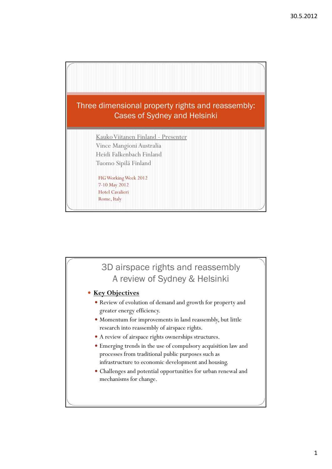

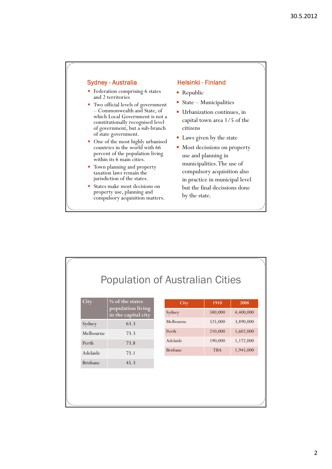- Federation comprising 6 states and 2 territories
- Two official levels of government – Commonwealth and State, of which Local Government is not a constitutionally recognised level of government, but a sub-branch of state government.
- One of the most highly urbanised countries in the world with 66 percent of the population living within its 6 main cities.
- Town planning and property taxation laws remain the jurisdiction of the states.
- States make most decisions on property use, planning and compulsory acquisition matters.

## Sydney - Australia Helsinki - Finland

- Republic
- State Municipalities
- Urbanization continues, in capital town area 1/5 of the citizens
- Laws given by the state
- Most decissions on property use and planning in municipalities. The use of compulsory acquisition also in practice in municipal level but the final decissions done by the state.

# Population of Australian Cities

| City            | $\%$ of the states<br>population living<br>in the capital city |
|-----------------|----------------------------------------------------------------|
| Sydney          | 63.3                                                           |
| Melbourne       | 73.3                                                           |
| Perth           | 73.8                                                           |
| Adelaide        | 73.1                                                           |
| <b>Brishane</b> | 45.3                                                           |

| City            | 1910       | 2008      |
|-----------------|------------|-----------|
| Sydney          | 580,000    | 4,400,000 |
| Melbourne       | 525,000    | 3,890,000 |
| Perth           | 210,000    | 1,602,000 |
| Adelaide        | 190,000    | 1,172,000 |
| <b>Brisbane</b> | <b>TBA</b> | 1,945,000 |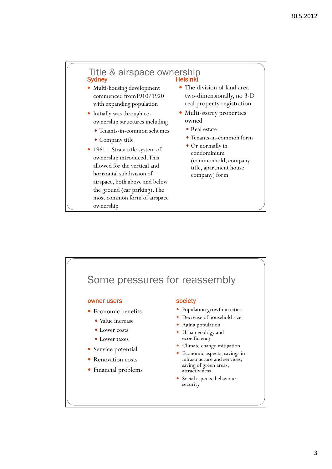## Title & airspace ownership<br>Sydney Helsinki

- Multi-housing development commenced from1910/1920 with expanding population
- Initially was through coownership structures including:
	- Tenants-in-common schemes
	- Company title
- 1961 Strata title system of ownership introduced. This allowed for the vertical and horizontal subdivision of airspace, both above and below the ground (car parking). The most common form of airspace ownership
- The division of land area two-dimensionally, no 3-D real property registration
- Multi-storey properties owned
	- Real estate
	- Tenants-in-common form
	- Or normally in condominium (commonhold, company title, apartment house company) form

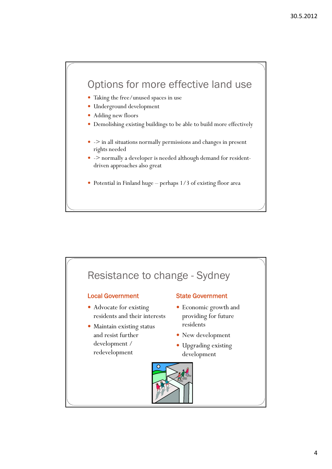## Options for more effective land use

- Taking the free/unused spaces in use
- Underground development
- Adding new floors
- Demolishing existing buildings to be able to build more effectively
- - > in all situations normally permissions and changes in present rights needed
- -> normally a developer is needed although demand for residentdriven approaches also great
- Potential in Finland huge perhaps 1/3 of existing floor area